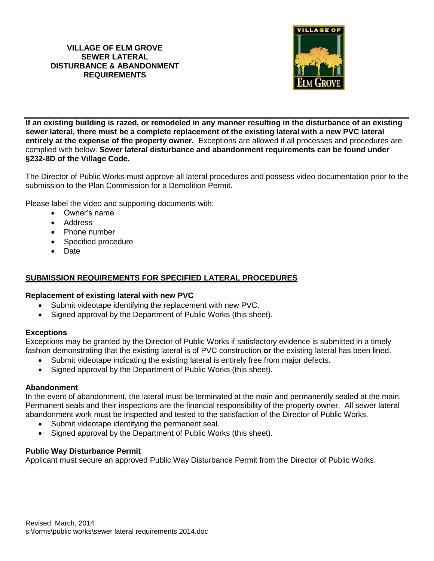### **VILLAGE OF ELM GROVE SEWER LATERAL DISTURBANCE & ABANDONMENT REQUIREMENTS**



**If an existing building is razed, or remodeled in any manner resulting in the disturbance of an existing sewer lateral, there must be a complete replacement of the existing lateral with a new PVC lateral entirely at the expense of the property owner.** Exceptions are allowed if all processes and procedures are complied with below. **Sewer lateral disturbance and abandonment requirements can be found under §232-8D of the Village Code.** 

The Director of Public Works must approve all lateral procedures and possess video documentation prior to the submission to the Plan Commission for a Demolition Permit.

Please label the video and supporting documents with:

- Owner's name
- Address
- Phone number
- Specified procedure
- Date

## **SUBMISSION REQUIREMENTS FOR SPECIFIED LATERAL PROCEDURES**

#### **Replacement of existing lateral with new PVC**

- Submit videotape identifying the replacement with new PVC.
- Signed approval by the Department of Public Works (this sheet).

#### **Exceptions**

Exceptions may be granted by the Director of Public Works if satisfactory evidence is submitted in a timely fashion demonstrating that the existing lateral is of PVC construction **or** the existing lateral has been lined.

- Submit videotape indicating the existing lateral is entirely free from major defects.
- Signed approval by the Department of Public Works (this sheet).

#### **Abandonment**

In the event of abandonment, the lateral must be terminated at the main and permanently sealed at the main. Permanent seals and their inspections are the financial responsibility of the property owner. All sewer lateral abandonment work must be inspected and tested to the satisfaction of the Director of Public Works.

- Submit videotape identifying the permanent seal.
- Signed approval by the Department of Public Works (this sheet).

#### **Public Way Disturbance Permit**

Applicant must secure an approved Public Way Disturbance Permit from the Director of Public Works.